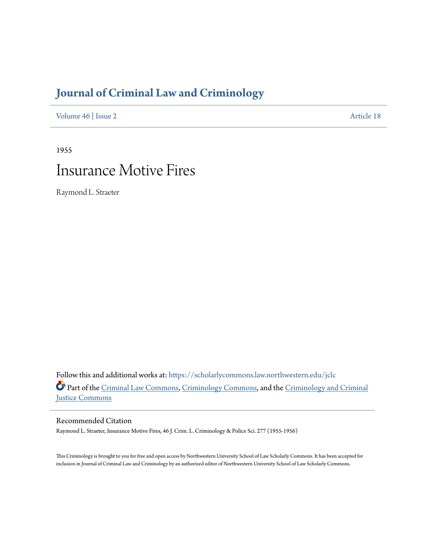## **[Journal of Criminal Law and Criminology](https://scholarlycommons.law.northwestern.edu/jclc?utm_source=scholarlycommons.law.northwestern.edu%2Fjclc%2Fvol46%2Fiss2%2F18&utm_medium=PDF&utm_campaign=PDFCoverPages)**

[Volume 46](https://scholarlycommons.law.northwestern.edu/jclc/vol46?utm_source=scholarlycommons.law.northwestern.edu%2Fjclc%2Fvol46%2Fiss2%2F18&utm_medium=PDF&utm_campaign=PDFCoverPages) | [Issue 2](https://scholarlycommons.law.northwestern.edu/jclc/vol46/iss2?utm_source=scholarlycommons.law.northwestern.edu%2Fjclc%2Fvol46%2Fiss2%2F18&utm_medium=PDF&utm_campaign=PDFCoverPages) [Article 18](https://scholarlycommons.law.northwestern.edu/jclc/vol46/iss2/18?utm_source=scholarlycommons.law.northwestern.edu%2Fjclc%2Fvol46%2Fiss2%2F18&utm_medium=PDF&utm_campaign=PDFCoverPages)

1955

## Insurance Motive Fires

Raymond L. Straeter

Follow this and additional works at: [https://scholarlycommons.law.northwestern.edu/jclc](https://scholarlycommons.law.northwestern.edu/jclc?utm_source=scholarlycommons.law.northwestern.edu%2Fjclc%2Fvol46%2Fiss2%2F18&utm_medium=PDF&utm_campaign=PDFCoverPages) Part of the [Criminal Law Commons](http://network.bepress.com/hgg/discipline/912?utm_source=scholarlycommons.law.northwestern.edu%2Fjclc%2Fvol46%2Fiss2%2F18&utm_medium=PDF&utm_campaign=PDFCoverPages), [Criminology Commons](http://network.bepress.com/hgg/discipline/417?utm_source=scholarlycommons.law.northwestern.edu%2Fjclc%2Fvol46%2Fiss2%2F18&utm_medium=PDF&utm_campaign=PDFCoverPages), and the [Criminology and Criminal](http://network.bepress.com/hgg/discipline/367?utm_source=scholarlycommons.law.northwestern.edu%2Fjclc%2Fvol46%2Fiss2%2F18&utm_medium=PDF&utm_campaign=PDFCoverPages) [Justice Commons](http://network.bepress.com/hgg/discipline/367?utm_source=scholarlycommons.law.northwestern.edu%2Fjclc%2Fvol46%2Fiss2%2F18&utm_medium=PDF&utm_campaign=PDFCoverPages)

Recommended Citation

Raymond L. Straeter, Insurance Motive Fires, 46 J. Crim. L. Criminology & Police Sci. 277 (1955-1956)

This Criminology is brought to you for free and open access by Northwestern University School of Law Scholarly Commons. It has been accepted for inclusion in Journal of Criminal Law and Criminology by an authorized editor of Northwestern University School of Law Scholarly Commons.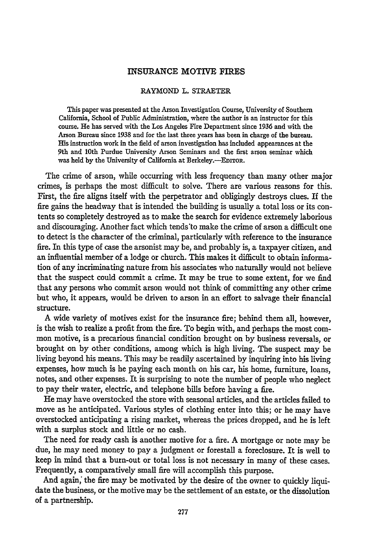## **INSURANCE** MOTIVE FIRES

## RAYMOND L. STRAETER

This paper was presented at the Arson Investigation Course, University of Southern California, School of Public Administration, where the author is an instructor for this course. He has served with the Los Angeles Fire Department since 1936 and with the Arson Bureau since **1938** and for the last three years has been in charge of the bureau. His instruction work in the field of arson investigation has included appearances at the 9th and 10th Purdue University Arson Seminars and the first arson seminar which was held by the University of California at Berkeley.--EDITOR.

The crime of arson, while occurring with less frequency than many other major crimes, is perhaps the most difficult to solve. There are various reasons for this. First, the fire aligns itself with the perpetrator and obligingly destroys clues. If the fire gains the headway that is intended the building is usually a total loss or its contents so completely destroyed as to make the search for evidence extremely laborious and discouraging. Another fact which tends'to make the crime of arson a difficult one to detect is the character of the criminal, particularly with reference to the insurance fire. In this type of case the arsonist may be, and probably is, a taxpayer citizen, and an influential member of a lodge or church. This makes it difficult to obtain information of any incriminating nature from his associates who naturally would not believe that the suspect could commit a crime. It may be true to some extent, for we find that any persons who commit arson would not think of committing any other crime but who, it appears, would be driven to arson in an effort to salvage their financial structure.

A wide variety of motives exist for the insurance fire; behind them all, however, is the wish to realize a profit from the fire. To begin with, and perhaps the most common motive, is a precarious financial condition brought on by business reversals, or brought on by other conditions, among which is high living. The suspect may be living beyond his means. This may be readily ascertained by inquiring into his living expenses, how much is he paying each month on his car, his home, furniture, loans, notes, and other expenses. It is surprising to note the number of people who neglect to pay their water, electric, and telephone bills before having a fire.

He may have overstocked the store with seasonal articles, and the articles failed to move as he anticipated. Various styles of clothing enter into this; or he may have overstocked anticipating a rising market, whereas the prices dropped, and he is left with a surplus stock and little or no cash.

The need for ready cash is another motive for a fire. A mortgage or note may be due, he may need money to pay a judgment or forestall a foreclosure. It is well to keep in mind that a burn-out or total loss is not necessary in many of these cases. Frequently, a comparatively small fire will accomplish this purpose.

And again, the fire may be motivated by the desire of the owner to quickly liquidate the business, or the motive may be the settlement of an estate, or the dissolution of a partnership.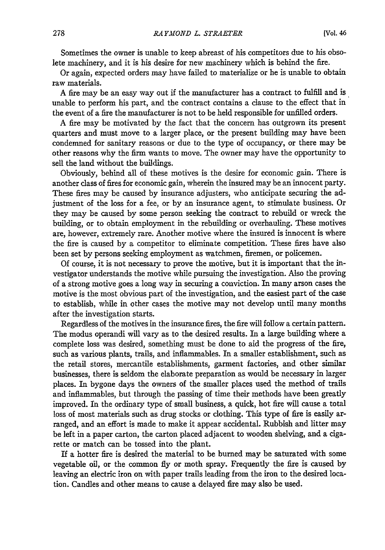Sometimes the owner is unable to keep abreast of his competitors due to his obsolete machinery, and it is his desire for new machinery which is behind the fire.

Or again, expected orders may have failed to materialize or he is unable to obtain raw materials.

A fire may be an easy way out if the manufacturer has a contract to fulfill and is unable to perform his part, and the contract contains a clause to the effect that in the event of a fire the manufacturer is not to be held responsible for unfilled orders.

A fire may be motivated by the fact that the concern has outgrown its present quarters and must move to a larger place, or the present building may have been condemned for sanitary reasons or due to the type of occupancy, or there may be other reasons why the firm wants to move. The owner may have the opportunity to sell the land without the buildings.

Obviously, behind all of these motives is the desire for economic gain. There is another class of fires for economic gain, wherein the insured may be an innocent party. These fires may be caused by insurance adjusters, who anticipate securing the adjustment of the loss for a fee, or by an insurance agent, to stimulate business. Or they may be caused by some person seeking the contract to rebuild or wreck the building, or to obtain employment in the rebuilding or overhauling. These motives are, however, extremely rare. Another motive where the insured is innocent is where the fire is caused by a competitor to eliminate competition. These fires have also been set by persons seeking employment as watchmen, firemen, or policemen.

Of course, it is not necessary to prove the motive, but it is important that the investigator understands the motive while pursuing the investigation. Also the proving of a strong motive goes a long way in securing a conviction. In many arson cases the motive is the most obvious part of the investigation, and the easiest part of the case to establish, while in other cases the motive may not develop until many months after the investigation starts.

Regardless of the motives in the insurance fires, the fire will follow a certain pattern. The modus operandi will vary as to the desired results. In a large building where a complete loss was desired, something must be done to aid the progress of the fire, such as various plants, trails, and inflammables. In a smaller establishment, such as the retail stores, mercantile establishments, garment factories, and other similar businesses, there is seldom the elaborate preparation as would be necessary in larger places. In bygone days the owners of the smaller places used the method of trails and inflammables, but through the passing of time their methods have been greatly improved. In the ordinary type of small business, a quick, hot fire will cause a total loss of most materials such as drug stocks or clothing. This type of fire is easily arranged, and an effort is made to make it appear accidental. Rubbish and litter may be left in a paper carton, the carton placed adjacent to wooden shelving, and a cigarette or match can be tossed into the plant.

If a hotter fire is desired the material to be burned may be saturated with some vegetable oil, or the common fly or moth spray. Frequently the fire is caused by leaving an electric iron on with paper trails leading from the iron to the desired location. Candles and other means to cause a delayed fire may also be used.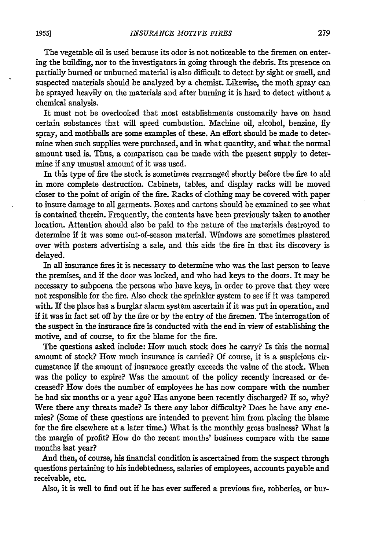The vegetable oil is used because its odor is not noticeable to the firemen on entering the building, nor to the investigators in going through the debris. Its presence on partially burned or unburned material is also difficult to detect by sight or smell, and suspected materials should be analyzed by a chemist. Likewise, the moth spray can be sprayed heavily on the materials and after burning it is hard to detect without a chemical analysis.

It must not be overlooked that most establishments customarily have on hand certain substances that will speed combustion. Machine oil, alcohol, benzine, fly spray, and mothballs are some examples of these. An effort should be made to deter- mine when such supplies were purchased, and in what quantity, and what the normal amount used is. Thus, a comparison can be made with the present supply to determine if any unusual amount of it was used.

In this type of fire the stock is sometimes rearranged shortly before the fire to aid in more complete destruction. Cabinets, tables, and display racks will be moved closer to the point of origin of the fire. Racks of clothing may be covered with paper to insure damage to all garments. Boxes and cartons should be examined to see what is contained therein. Frequently, the contents have been previously taken to another location. Attention should also be paid to the nature of the materials destroyed to determine if it was some out-of-season material. Windows are sometimes plastered over with posters advertising a sale, and this aids the fire in that its discovery is delayed.

In all insurance fires it is necessary to determine who was the last person to leave the premises, and if the door was locked, and who had keys to the doors. It may be necessary to subpoena the persons who have keys, in order to prove that they were not responsible for the fire. Also check the sprinkler system to see if it was tampered with. **If** the place has a burglar alarm system ascertain **if** it was put in operation, and if it was in fact set off by the fire or by the entry of the firemen. The interrogation of the suspect in the insurance fire is conducted with the end in view of establishing the motive, and of course, to fix the blame for the fire.

The questions asked include: How much stock does he carry? Is this the normal amount of stock? How much insurance is carried? **Of** course, it is a suspicious circumstance if the amount of insurance greatly exceeds the value of the stock. When was the policy to expire? Was the amount of the policy recently increased or decreased? How does the number of employees he has now compare with the number he had six months or a year ago? Has anyone been recently discharged? If so, why? Were there any threats made? Is there any labor difficulty? Does he have any enemies? (Some of these questions are intended to prevent him from placing the blame for the fire elsewhere at a later time.) What is the monthly gross business? What is the margin of profit? How do the recent months' business compare with the same months last year?

And then, of course, his financial condition is ascertained from the suspect through questions pertaining to his indebtedness, salaries of employees, accounts payable and receivable, etc.

Also, it is well to find out if he has ever suffered a previous fire, robberies, or bur-